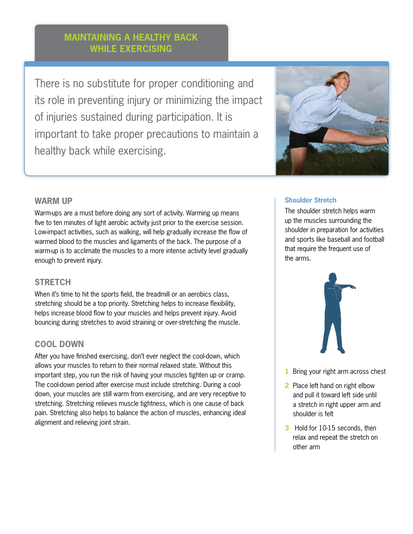# **Maintaining a Healthy Back While exercising**

There is no substitute for proper conditioning and its role in preventing injury or minimizing the impact of injuries sustained during participation. It is important to take proper precautions to maintain a healthy back while exercising.



# **Shoulder Stretch**

The shoulder stretch helps warm up the muscles surrounding the shoulder in preparation for activities and sports like baseball and football that require the frequent use of the arms.



- **1** Bring your right arm across chest
- **2** Place left hand on right elbow and pull it toward left side until a stretch in right upper arm and shoulder is felt
- **3** Hold for 10-15 seconds, then relax and repeat the stretch on other arm

### **WARM UP**

Warm-ups are a must before doing any sort of activity. Warming up means five to ten minutes of light aerobic activity just prior to the exercise session. Low-impact activities, such as walking, will help gradually increase the flow of warmed blood to the muscles and ligaments of the back. The purpose of a warm-up is to acclimate the muscles to a more intense activity level gradually enough to prevent injury.

# **STRETCH**

When it's time to hit the sports field, the treadmill or an aerobics class, stretching should be a top priority. Stretching helps to increase flexibility, helps increase blood flow to your muscles and helps prevent injury. Avoid bouncing during stretches to avoid straining or over-stretching the muscle.

# **COOL DOWN**

After you have finished exercising, don't ever neglect the cool-down, which allows your muscles to return to their normal relaxed state. Without this important step, you run the risk of having your muscles tighten up or cramp. The cool-down period after exercise must include stretching. During a cooldown, your muscles are still warm from exercising, and are very receptive to stretching. Stretching relieves muscle tightness, which is one cause of back pain. Stretching also helps to balance the action of muscles, enhancing ideal alignment and relieving joint strain.